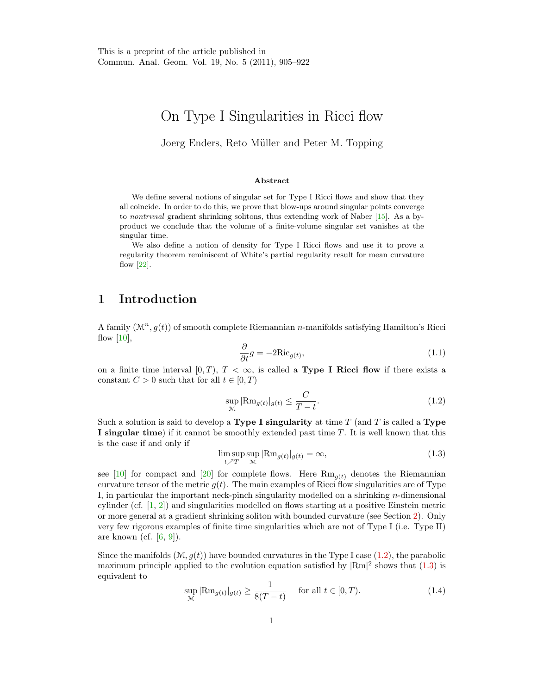# On Type I Singularities in Ricci flow

#### Joerg Enders, Reto Müller and Peter M. Topping

#### Abstract

We define several notions of singular set for Type I Ricci flows and show that they all coincide. In order to do this, we prove that blow-ups around singular points converge to nontrivial gradient shrinking solitons, thus extending work of Naber [\[15\]](#page-12-0). As a byproduct we conclude that the volume of a finite-volume singular set vanishes at the singular time.

We also define a notion of density for Type I Ricci flows and use it to prove a regularity theorem reminiscent of White's partial regularity result for mean curvature flow [\[22\]](#page-12-1).

### <span id="page-0-4"></span>1 Introduction

A family  $(\mathcal{M}^n, g(t))$  of smooth complete Riemannian *n*-manifolds satisfying Hamilton's Ricci flow  $[10]$ ,

<span id="page-0-2"></span>
$$
\frac{\partial}{\partial t}g = -2Ric_{g(t)},\tag{1.1}
$$

on a finite time interval [0, T],  $T < \infty$ , is called a **Type I Ricci flow** if there exists a constant  $C > 0$  such that for all  $t \in [0, T)$ 

<span id="page-0-0"></span>
$$
\sup_{\mathcal{M}} |\text{Rm}_{g(t)}|_{g(t)} \le \frac{C}{T - t}.\tag{1.2}
$$

Such a solution is said to develop a **Type I singularity** at time  $T$  (and  $T$  is called a **Type** I singular time) if it cannot be smoothly extended past time T. It is well known that this is the case if and only if

<span id="page-0-1"></span>
$$
\limsup_{t \nearrow T} \sup_{\mathcal{M}} |\text{Rm}_{g(t)}|_{g(t)} = \infty,
$$
\n(1.3)

see [\[10\]](#page-12-2) for compact and [\[20\]](#page-12-3) for complete flows. Here  $\text{Rm}_{g(t)}$  denotes the Riemannian curvature tensor of the metric  $g(t)$ . The main examples of Ricci flow singularities are of Type I, in particular the important neck-pinch singularity modelled on a shrinking  $n$ -dimensional cylinder (cf. [\[1,](#page-11-0) [2\]](#page-11-1)) and singularities modelled on flows starting at a positive Einstein metric or more general at a gradient shrinking soliton with bounded curvature (see Section [2\)](#page-3-0). Only very few rigorous examples of finite time singularities which are not of Type I (i.e. Type II) are known (cf.  $[6, 9]$  $[6, 9]$ ).

Since the manifolds  $(\mathcal{M}, q(t))$  have bounded curvatures in the Type I case [\(1.2\)](#page-0-0), the parabolic maximum principle applied to the evolution equation satisfied by  $\text{Rm}$ <sup>2</sup> shows that  $(1.3)$  is equivalent to

<span id="page-0-3"></span>
$$
\sup_{\mathcal{M}} |\text{Rm}_{g(t)}|_{g(t)} \ge \frac{1}{8(T-t)} \quad \text{ for all } t \in [0, T). \tag{1.4}
$$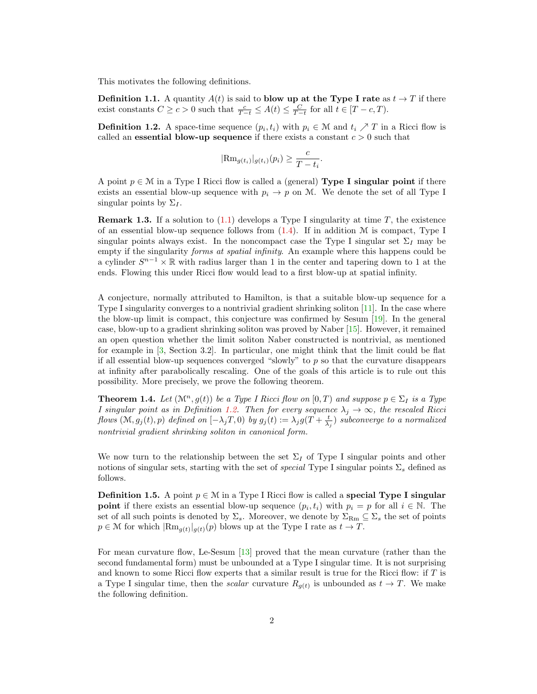This motivates the following definitions.

**Definition 1.1.** A quantity  $A(t)$  is said to blow up at the Type I rate as  $t \to T$  if there exist constants  $C \ge c > 0$  such that  $\frac{c}{T-t} \le A(t) \le \frac{C}{T-t}$  for all  $t \in [T-c, T)$ .

<span id="page-1-0"></span>**Definition 1.2.** A space-time sequence  $(p_i, t_i)$  with  $p_i \in \mathcal{M}$  and  $t_i \nearrow T$  in a Ricci flow is called an **essential blow-up sequence** if there exists a constant  $c > 0$  such that

$$
|\text{Rm}_{g(t_i)}|_{g(t_i)}(p_i) \geq \frac{c}{T-t_i}.
$$

A point  $p \in \mathcal{M}$  in a Type I Ricci flow is called a (general) Type I singular point if there exists an essential blow-up sequence with  $p_i \to p$  on M. We denote the set of all Type I singular points by  $\Sigma_I$ .

**Remark 1.3.** If a solution to  $(1.1)$  develops a Type I singularity at time T, the existence of an essential blow-up sequence follows from  $(1.4)$ . If in addition M is compact, Type I singular points always exist. In the noncompact case the Type I singular set  $\Sigma_I$  may be empty if the singularity forms at spatial infinity. An example where this happens could be a cylinder  $S^{n-1} \times \mathbb{R}$  with radius larger than 1 in the center and tapering down to 1 at the ends. Flowing this under Ricci flow would lead to a first blow-up at spatial infinity.

A conjecture, normally attributed to Hamilton, is that a suitable blow-up sequence for a Type I singularity converges to a nontrivial gradient shrinking soliton  $[11]$ . In the case where the blow-up limit is compact, this conjecture was confirmed by Sesum [\[19\]](#page-12-7). In the general case, blow-up to a gradient shrinking soliton was proved by Naber [\[15\]](#page-12-0). However, it remained an open question whether the limit soliton Naber constructed is nontrivial, as mentioned for example in [\[3,](#page-12-8) Section 3.2]. In particular, one might think that the limit could be flat if all essential blow-up sequences converged "slowly" to p so that the curvature disappears at infinity after parabolically rescaling. One of the goals of this article is to rule out this possibility. More precisely, we prove the following theorem.

<span id="page-1-1"></span>**Theorem 1.4.** Let  $(\mathcal{M}^n, g(t))$  be a Type I Ricci flow on  $[0, T)$  and suppose  $p \in \Sigma_I$  is a Type I singular point as in Definition [1.2.](#page-1-0) Then for every sequence  $\lambda_j \to \infty$ , the rescaled Ricci flows  $(\mathcal{M}, g_j(t), p)$  defined on  $[-\lambda_j T, 0)$  by  $g_j(t) := \lambda_j g(T + \frac{t}{\lambda_j})$  subconverge to a normalized nontrivial gradient shrinking soliton in canonical form.

We now turn to the relationship between the set  $\Sigma_I$  of Type I singular points and other notions of singular sets, starting with the set of *special* Type I singular points  $\Sigma_s$  defined as follows.

**Definition 1.5.** A point  $p \in \mathcal{M}$  in a Type I Ricci flow is called a special Type I singular **point** if there exists an essential blow-up sequence  $(p_i, t_i)$  with  $p_i = p$  for all  $i \in \mathbb{N}$ . The set of all such points is denoted by  $\Sigma_s$ . Moreover, we denote by  $\Sigma_{\rm Rm} \subseteq \Sigma_s$  the set of points  $p \in \mathcal{M}$  for which  $|\text{Rm}_{g(t)}|_{g(t)}(p)$  blows up at the Type I rate as  $t \to T$ .

For mean curvature flow, Le-Sesum [\[13\]](#page-12-9) proved that the mean curvature (rather than the second fundamental form) must be unbounded at a Type I singular time. It is not surprising and known to some Ricci flow experts that a similar result is true for the Ricci flow: if  $T$  is a Type I singular time, then the *scalar* curvature  $R_{g(t)}$  is unbounded as  $t \to T$ . We make the following definition.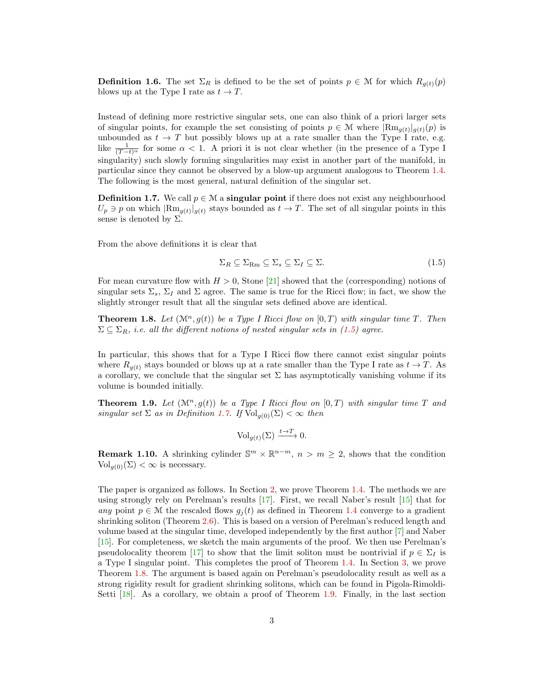<span id="page-2-4"></span>**Definition 1.6.** The set  $\Sigma_R$  is defined to be the set of points  $p \in \mathcal{M}$  for which  $R_{q(t)}(p)$ blows up at the Type I rate as  $t \to T$ .

Instead of defining more restrictive singular sets, one can also think of a priori larger sets of singular points, for example the set consisting of points  $p \in \mathcal{M}$  where  $|\text{Rm}_{g(t)}|_{g(t)}(p)$  is unbounded as  $t \to T$  but possibly blows up at a rate smaller than the Type I rate, e.g. like  $\frac{1}{(T-t)^{\alpha}}$  for some  $\alpha < 1$ . A priori it is not clear whether (in the presence of a Type I singularity) such slowly forming singularities may exist in another part of the manifold, in particular since they cannot be observed by a blow-up argument analogous to Theorem [1.4.](#page-1-1) The following is the most general, natural definition of the singular set.

<span id="page-2-1"></span>**Definition 1.7.** We call  $p \in \mathcal{M}$  a singular point if there does not exist any neighbourhood  $U_p \ni p$  on which  $|\text{Rm}_{g(t)}|_{g(t)}$  stays bounded as  $t \to T$ . The set of all singular points in this sense is denoted by  $\Sigma$ .

From the above definitions it is clear that

<span id="page-2-0"></span>
$$
\Sigma_R \subseteq \Sigma_{\rm Rm} \subseteq \Sigma_s \subseteq \Sigma_I \subseteq \Sigma. \tag{1.5}
$$

For mean curvature flow with  $H > 0$ , Stone [\[21\]](#page-12-10) showed that the (corresponding) notions of singular sets  $\Sigma_s$ ,  $\Sigma_I$  and  $\Sigma$  agree. The same is true for the Ricci flow; in fact, we show the slightly stronger result that all the singular sets defined above are identical.

<span id="page-2-2"></span>**Theorem 1.8.** Let  $(\mathcal{M}^n, g(t))$  be a Type I Ricci flow on  $[0, T)$  with singular time T. Then  $\Sigma \subseteq \Sigma_R$ , i.e. all the different notions of nested singular sets in [\(1.5\)](#page-2-0) agree.

In particular, this shows that for a Type I Ricci flow there cannot exist singular points where  $R_{q(t)}$  stays bounded or blows up at a rate smaller than the Type I rate as  $t \to T$ . As a corollary, we conclude that the singular set  $\Sigma$  has asymptotically vanishing volume if its volume is bounded initially.

<span id="page-2-3"></span>**Theorem 1.9.** Let  $(\mathcal{M}^n, g(t))$  be a Type I Ricci flow on  $[0, T)$  with singular time T and singular set  $\Sigma$  as in Definition [1.7.](#page-2-1) If  $Vol_{q(0)}(\Sigma) < \infty$  then

$$
\text{Vol}_{g(t)}(\Sigma) \xrightarrow{t \to T} 0.
$$

**Remark 1.10.** A shrinking cylinder  $\mathbb{S}^m \times \mathbb{R}^{n-m}$ ,  $n > m \geq 2$ , shows that the condition  $\text{Vol}_{a(0)}(\Sigma) < \infty$  is necessary.

The paper is organized as follows. In Section [2,](#page-3-0) we prove Theorem [1.4.](#page-1-1) The methods we are using strongly rely on Perelman's results [\[17\]](#page-12-11). First, we recall Naber's result [\[15\]](#page-12-0) that for any point  $p \in \mathcal{M}$  the rescaled flows  $g_i(t)$  as defined in Theorem [1.4](#page-1-1) converge to a gradient shrinking soliton (Theorem [2.6\)](#page-5-0). This is based on a version of Perelman's reduced length and volume based at the singular time, developed independently by the first author [\[7\]](#page-12-12) and Naber [\[15\]](#page-12-0). For completeness, we sketch the main arguments of the proof. We then use Perelman's pseudolocality theorem [\[17\]](#page-12-11) to show that the limit soliton must be nontrivial if  $p \in \Sigma_I$  is a Type I singular point. This completes the proof of Theorem [1.4.](#page-1-1) In Section [3,](#page-7-0) we prove Theorem [1.8.](#page-2-2) The argument is based again on Perelman's pseudolocality result as well as a strong rigidity result for gradient shrinking solitons, which can be found in Pigola-Rimoldi-Setti [\[18\]](#page-12-13). As a corollary, we obtain a proof of Theorem [1.9.](#page-2-3) Finally, in the last section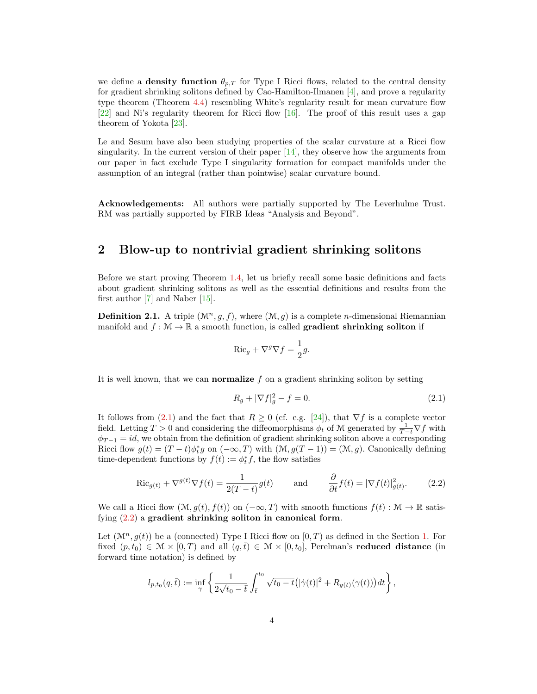we define a **density function**  $\theta_{p,T}$  for Type I Ricci flows, related to the central density for gradient shrinking solitons defined by Cao-Hamilton-Ilmanen [\[4\]](#page-12-14), and prove a regularity type theorem (Theorem [4.4\)](#page-11-2) resembling White's regularity result for mean curvature flow [\[22\]](#page-12-1) and Ni's regularity theorem for Ricci flow  $[16]$ . The proof of this result uses a gap theorem of Yokota [\[23\]](#page-12-16).

Le and Sesum have also been studying properties of the scalar curvature at a Ricci flow singularity. In the current version of their paper  $[14]$ , they observe how the arguments from our paper in fact exclude Type I singularity formation for compact manifolds under the assumption of an integral (rather than pointwise) scalar curvature bound.

Acknowledgements: All authors were partially supported by The Leverhulme Trust. RM was partially supported by FIRB Ideas "Analysis and Beyond".

### <span id="page-3-0"></span>2 Blow-up to nontrivial gradient shrinking solitons

Before we start proving Theorem [1.4,](#page-1-1) let us briefly recall some basic definitions and facts about gradient shrinking solitons as well as the essential definitions and results from the first author [\[7\]](#page-12-12) and Naber [\[15\]](#page-12-0).

**Definition 2.1.** A triple  $(\mathcal{M}^n, q, f)$ , where  $(\mathcal{M}, q)$  is a complete *n*-dimensional Riemannian manifold and  $f : \mathcal{M} \to \mathbb{R}$  a smooth function, is called **gradient shrinking soliton** if

$$
\operatorname{Ric}_g + \nabla^g \nabla f = \frac{1}{2}g.
$$

It is well known, that we can **normalize**  $f$  on a gradient shrinking soliton by setting

<span id="page-3-1"></span>
$$
R_g + |\nabla f|_g^2 - f = 0.
$$
\n(2.1)

It follows from [\(2.1\)](#page-3-1) and the fact that  $R \geq 0$  (cf. e.g. [\[24\]](#page-12-18)), that  $\nabla f$  is a complete vector field. Letting  $T > 0$  and considering the diffeomorphisms  $\phi_t$  of M generated by  $\frac{1}{T-t}\nabla f$  with  $\phi_{T-1} = id$ , we obtain from the definition of gradient shrinking soliton above a corresponding Ricci flow  $g(t) = (T - t)\phi_t^* g$  on  $(-\infty, T)$  with  $(\mathcal{M}, g(T - 1)) = (\mathcal{M}, g)$ . Canonically defining time-dependent functions by  $f(t) := \phi_t^* f$ , the flow satisfies

<span id="page-3-2"></span>
$$
\operatorname{Ric}_{g(t)} + \nabla^{g(t)} \nabla f(t) = \frac{1}{2(T-t)} g(t) \quad \text{and} \quad \frac{\partial}{\partial t} f(t) = |\nabla f(t)|_{g(t)}^2. \tag{2.2}
$$

We call a Ricci flow  $(\mathcal{M}, g(t), f(t))$  on  $(-\infty, T)$  with smooth functions  $f(t) : \mathcal{M} \to \mathbb{R}$  satisfying  $(2.2)$  a gradient shrinking soliton in canonical form.

Let  $(\mathcal{M}^n, q(t))$  be a (connected) Type I Ricci flow on  $[0, T)$  as defined in the Section [1.](#page-0-4) For fixed  $(p, t_0) \in \mathcal{M} \times [0, T)$  and all  $(q, \bar{t}) \in \mathcal{M} \times [0, t_0]$ , Perelman's reduced distance (in forward time notation) is defined by

$$
l_{p,t_0}(q,\bar{t}) := \inf_{\gamma} \left\{ \frac{1}{2\sqrt{t_0 - t}} \int_{\bar{t}}^{t_0} \sqrt{t_0 - t} \left( |\dot{\gamma}(t)|^2 + R_{g(t)}(\gamma(t)) \right) dt \right\},\,
$$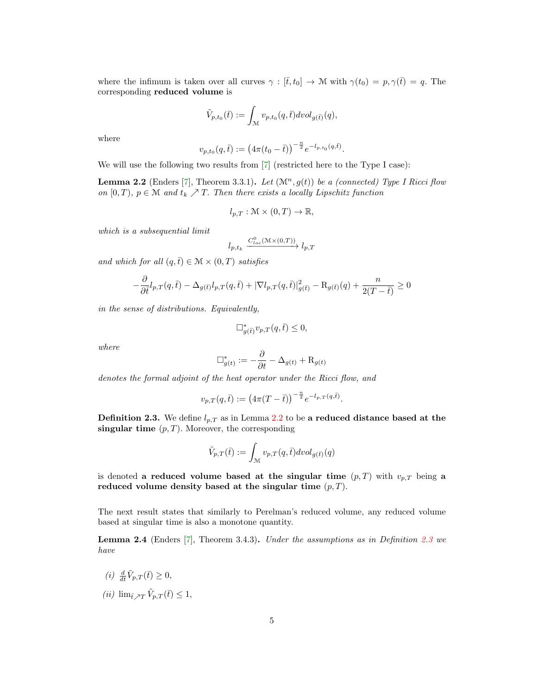where the infimum is taken over all curves  $\gamma : [\bar{t}, t_0] \to \mathcal{M}$  with  $\gamma(t_0) = p, \gamma(\bar{t}) = q$ . The corresponding reduced volume is

$$
\tilde{V}_{p,t_0}(\bar{t}):=\int_{\mathcal{M}}v_{p,t_0}(q,\bar{t}) dvol_{g(\bar{t})}(q),
$$

where

$$
v_{p,t_0}(q,\bar{t}) := \left(4\pi(t_0-\bar{t})\right)^{-\frac{n}{2}} e^{-l_{p,t_0}(q,\bar{t})}.
$$

We will use the following two results from [\[7\]](#page-12-12) (restricted here to the Type I case):

<span id="page-4-0"></span>**Lemma 2.2** (Enders [\[7\]](#page-12-12), Theorem 3.3.1). Let  $(\mathcal{M}^n, g(t))$  be a (connected) Type I Ricci flow on [0, T],  $p \in \mathcal{M}$  and  $t_k \nearrow T$ . Then there exists a locally Lipschitz function

$$
l_{p,T}: \mathcal{M} \times (0,T) \to \mathbb{R},
$$

which is a subsequential limit

$$
l_{p,t_k} \xrightarrow{C^0_{loc}(\mathcal{M} \times (0,T))} l_{p,T}
$$

and which for all  $(q,\bar{t}) \in \mathcal{M} \times (0,T)$  satisfies

$$
-\frac{\partial}{\partial t}l_{p,T}(q,\bar{t}) - \Delta_{g(\bar{t})}l_{p,T}(q,\bar{t}) + |\nabla l_{p,T}(q,\bar{t})|_{g(\bar{t})}^{2} - R_{g(\bar{t})}(q) + \frac{n}{2(T-\bar{t})} \ge 0
$$

in the sense of distributions. Equivalently,

$$
\Box^*_{g(\bar t)} v_{p,T}(q,\bar t) \leq 0,
$$

where

$$
\Box^*_{g(t)}:=-\frac{\partial}{\partial t}-\Delta_{g(t)}+\mathcal{R}_{g(t)}
$$

denotes the formal adjoint of the heat operator under the Ricci flow, and

$$
v_{p,T}(q,\bar t):=\left(4\pi(T-\bar t)\right)^{-\frac{n}{2}}e^{-l_{p,T}(q,\bar t)}.
$$

<span id="page-4-1"></span>**Definition 2.3.** We define  $l_{p,T}$  as in Lemma [2.2](#page-4-0) to be a reduced distance based at the singular time  $(p, T)$ . Moreover, the corresponding

$$
\tilde{V}_{p,T}(\bar{t}):=\int_{\mathcal{M}}v_{p,T}(q,\bar{t}) dvol_{g(\bar{t})}(q)
$$

is denoted a reduced volume based at the singular time  $(p, T)$  with  $v_{p,T}$  being a reduced volume density based at the singular time  $(p, T)$ .

The next result states that similarly to Perelman's reduced volume, any reduced volume based at singular time is also a monotone quantity.

<span id="page-4-2"></span>Lemma 2.4 (Enders [\[7\]](#page-12-12), Theorem 3.4.3). Under the assumptions as in Definition [2.3](#page-4-1) we have

- (i)  $\frac{d}{d\bar{t}}\tilde{V}_{p,T}(\bar{t}) \geq 0,$
- (*ii*)  $\lim_{\bar{t}\nearrow T} \tilde{V}_{p,T}(\bar{t}) \leq 1$ ,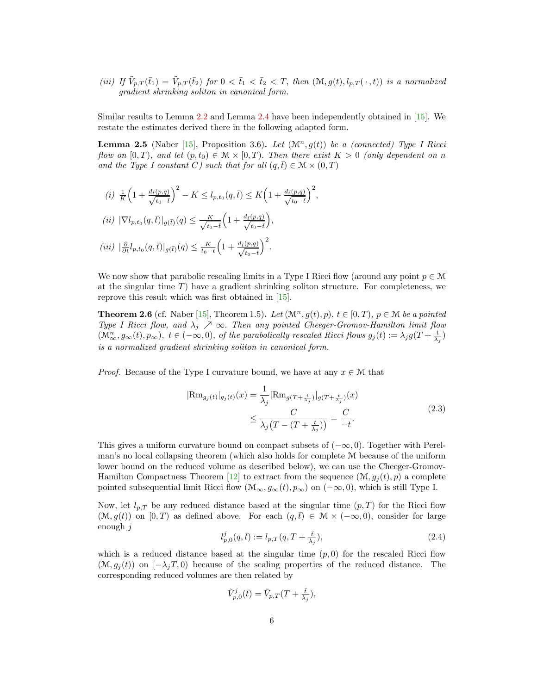(iii) If  $\tilde{V}_{p,T}(\bar{t}_1) = \tilde{V}_{p,T}(\bar{t}_2)$  for  $0 < \bar{t}_1 < \bar{t}_2 < T$ , then  $(\mathcal{M}, g(t), l_{p,T}(\cdot, t))$  is a normalized gradient shrinking soliton in canonical form.

Similar results to Lemma [2.2](#page-4-0) and Lemma [2.4](#page-4-2) have been independently obtained in [\[15\]](#page-12-0). We restate the estimates derived there in the following adapted form.

<span id="page-5-1"></span>**Lemma 2.5** (Naber [\[15\]](#page-12-0), Proposition 3.6). Let  $(\mathcal{M}^n, g(t))$  be a (connected) Type I Ricci flow on [0, T], and let  $(p, t_0) \in \mathcal{M} \times [0, T)$ . Then there exist  $K > 0$  (only dependent on n and the Type I constant C) such that for all  $(q, \bar{t}) \in \mathcal{M} \times (0, T)$ 

$$
(i) \frac{1}{K} \left( 1 + \frac{d_{\bar{t}}(p,q)}{\sqrt{t_0 - \bar{t}}} \right)^2 - K \le l_{p,t_0}(q, \bar{t}) \le K \left( 1 + \frac{d_{\bar{t}}(p,q)}{\sqrt{t_0 - \bar{t}}} \right)^2,
$$
  
\n
$$
(ii) |\nabla l_{p,t_0}(q, \bar{t})|_{g(\bar{t})}(q) \le \frac{K}{\sqrt{t_0 - \bar{t}}} \left( 1 + \frac{d_{\bar{t}}(p,q)}{\sqrt{t_0 - \bar{t}}} \right),
$$
  
\n
$$
(iii) |\frac{\partial}{\partial t} l_{p,t_0}(q, \bar{t})|_{g(\bar{t})}(q) \le \frac{K}{t_0 - \bar{t}} \left( 1 + \frac{d_{\bar{t}}(p,q)}{\sqrt{t_0 - \bar{t}}} \right)^2.
$$

We now show that parabolic rescaling limits in a Type I Ricci flow (around any point  $p \in \mathcal{M}$ at the singular time  $T$ ) have a gradient shrinking soliton structure. For completeness, we reprove this result which was first obtained in [\[15\]](#page-12-0).

<span id="page-5-0"></span>**Theorem 2.6** (cf. Naber [\[15\]](#page-12-0), Theorem 1.5). Let  $(\mathcal{M}^n, g(t), p)$ ,  $t \in [0, T)$ ,  $p \in \mathcal{M}$  be a pointed Type I Ricci flow, and  $\lambda_j \nearrow \infty$ . Then any pointed Cheeger-Gromov-Hamilton limit flow  $(\mathcal{M}_{\infty}^n, g_{\infty}(t), p_{\infty}), t \in (-\infty, 0),$  of the parabolically rescaled Ricci flows  $g_j(t) := \lambda_j g(T + \frac{t}{\lambda_j})$ is a normalized gradient shrinking soliton in canonical form.

*Proof.* Because of the Type I curvature bound, we have at any  $x \in \mathcal{M}$  that

<span id="page-5-3"></span>
$$
|\text{Rm}_{g_j(t)}|_{g_j(t)}(x) = \frac{1}{\lambda_j} |\text{Rm}_{g(T + \frac{t}{\lambda_j})}|_{g(T + \frac{t}{\lambda_j})}(x) \n\leq \frac{C}{\lambda_j (T - (T + \frac{t}{\lambda_j}))} = \frac{C}{-t}.
$$
\n(2.3)

This gives a uniform curvature bound on compact subsets of  $(-\infty, 0)$ . Together with Perelman's no local collapsing theorem (which also holds for complete M because of the uniform lower bound on the reduced volume as described below), we can use the Cheeger-Gromov-Hamilton Compactness Theorem [\[12\]](#page-12-19) to extract from the sequence  $(\mathcal{M}, g_i(t), p)$  a complete pointed subsequential limit Ricci flow  $(\mathcal{M}_{\infty}, g_{\infty}(t), p_{\infty})$  on  $(-\infty, 0)$ , which is still Type I.

Now, let  $l_{p,T}$  be any reduced distance based at the singular time  $(p,T)$  for the Ricci flow  $(\mathcal{M}, g(t))$  on  $[0, T)$  as defined above. For each  $(q, \overline{t}) \in \mathcal{M} \times (-\infty, 0)$ , consider for large enough j

<span id="page-5-2"></span>
$$
l_{p,0}^j(q,\bar{t}) := l_{p,T}(q,T+\frac{\bar{t}}{\lambda_j}),\tag{2.4}
$$

which is a reduced distance based at the singular time  $(p, 0)$  for the rescaled Ricci flow  $(\mathcal{M}, q_i(t))$  on  $[-\lambda_i T, 0]$  because of the scaling properties of the reduced distance. The corresponding reduced volumes are then related by

$$
\tilde{V}_{p,0}^j(\bar{t}) = \tilde{V}_{p,T}(T + \frac{\bar{t}}{\lambda_j}),
$$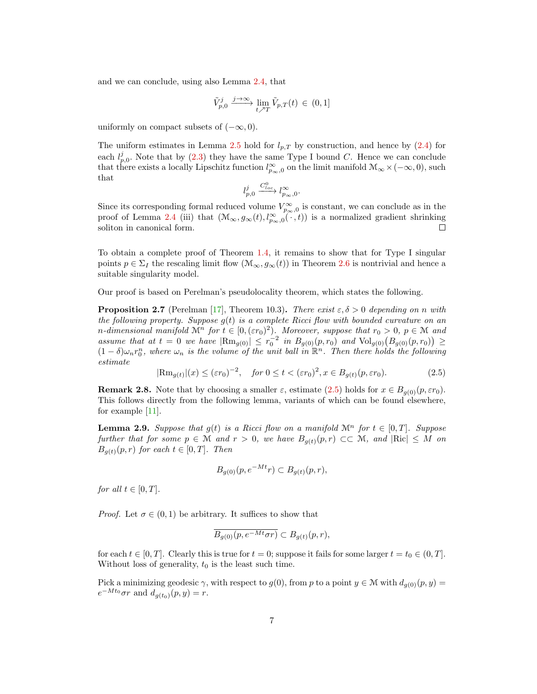and we can conclude, using also Lemma [2.4,](#page-4-2) that

$$
\tilde{V}_{p,0}^j \xrightarrow{j \to \infty} \lim_{t \nearrow T} \tilde{V}_{p,T}(t) \in (0,1]
$$

uniformly on compact subsets of  $(-\infty, 0)$ .

The uniform estimates in Lemma [2.5](#page-5-1) hold for  $l_{p,T}$  by construction, and hence by [\(2.4\)](#page-5-2) for each  $l_{p,0}^j$ . Note that by [\(2.3\)](#page-5-3) they have the same Type I bound C. Hence we can conclude that there exists a locally Lipschitz function  $l_{p_{\infty},0}^{\infty}$  on the limit manifold  $\mathcal{M}_{\infty}\times(-\infty,0)$ , such that

$$
l_{p,0}^j \xrightarrow{C^0_{loc}} l_{p_\infty,0}^\infty.
$$

Since its corresponding formal reduced volume  $V_{p_{\infty},0}^{\infty}$  is constant, we can conclude as in the proof of Lemma [2.4](#page-4-2) (iii) that  $(\mathcal{M}_{\infty}, g_{\infty}(t), l_{p_{\infty},0}^{\infty}(\cdot, t))$  is a normalized gradient shrinking  $\Box$ soliton in canonical form.

To obtain a complete proof of Theorem [1.4,](#page-1-1) it remains to show that for Type I singular points  $p \in \Sigma_I$  the rescaling limit flow  $(\mathcal{M}_{\infty}, g_{\infty}(t))$  in Theorem [2.6](#page-5-0) is nontrivial and hence a suitable singularity model.

Our proof is based on Perelman's pseudolocality theorem, which states the following.

<span id="page-6-1"></span>**Proposition 2.7** (Perelman [\[17\]](#page-12-11), Theorem 10.3). There exist  $\varepsilon, \delta > 0$  depending on n with the following property. Suppose  $g(t)$  is a complete Ricci flow with bounded curvature on an n-dimensional manifold  $\mathcal{M}^n$  for  $t \in [0, (\varepsilon r_0)^2)$ . Moreover, suppose that  $r_0 > 0$ ,  $p \in \mathcal{M}$  and assume that at  $t = 0$  we have  $|\text{Rm}_{g(0)}| \leq r_0^{-2}$  in  $B_{g(0)}(p,r_0)$  and  $\text{Vol}_{g(0)}(B_{g(0)}(p,r_0)) \geq$  $(1-\delta)\omega_n r_0^n$ , where  $\omega_n$  is the volume of the unit ball in  $\mathbb{R}^n$ . Then there holds the following estimate

<span id="page-6-0"></span>
$$
|\text{Rm}_{g(t)}|(x) \le (\varepsilon r_0)^{-2}, \quad \text{for } 0 \le t < (\varepsilon r_0)^2, x \in B_{g(t)}(p, \varepsilon r_0). \tag{2.5}
$$

<span id="page-6-2"></span>**Remark 2.8.** Note that by choosing a smaller  $\varepsilon$ , estimate [\(2.5\)](#page-6-0) holds for  $x \in B_{q(0)}(p, \varepsilon r_0)$ . This follows directly from the following lemma, variants of which can be found elsewhere, for example [\[11\]](#page-12-6).

<span id="page-6-3"></span>**Lemma 2.9.** Suppose that  $g(t)$  is a Ricci flow on a manifold  $\mathcal{M}^n$  for  $t \in [0,T]$ . Suppose further that for some  $p \in \mathcal{M}$  and  $r > 0$ , we have  $B_{q(t)}(p, r) \subset\subset \mathcal{M}$ , and  $|\text{Ric}| \leq M$  on  $B_{q(t)}(p,r)$  for each  $t \in [0,T]$ . Then

$$
B_{g(0)}(p, e^{-Mt}r) \subset B_{g(t)}(p,r),
$$

for all  $t \in [0, T]$ .

*Proof.* Let  $\sigma \in (0,1)$  be arbitrary. It suffices to show that

$$
\overline{B_{g(0)}(p, e^{-Mt}\sigma r)} \subset B_{g(t)}(p,r),
$$

for each  $t \in [0, T]$ . Clearly this is true for  $t = 0$ ; suppose it fails for some larger  $t = t_0 \in (0, T]$ . Without loss of generality,  $t_0$  is the least such time.

Pick a minimizing geodesic  $\gamma$ , with respect to  $g(0)$ , from p to a point  $y \in \mathcal{M}$  with  $d_{g(0)}(p, y)$  $e^{-Mt_0}\sigma r$  and  $d_{g(t_0)}(p, y) = r$ .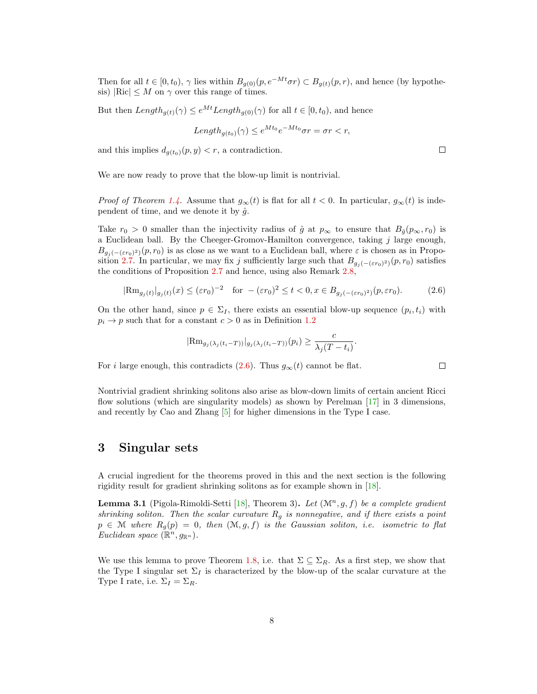Then for all  $t \in [0, t_0)$ ,  $\gamma$  lies within  $B_{g(0)}(p, e^{-Mt}\sigma r) \subset B_{g(t)}(p, r)$ , and hence (by hypothesis)  $|Ric| \leq M$  on  $\gamma$  over this range of times.

But then  $Length_{q(t)}(\gamma) \leq e^{Mt}Length_{q(0)}(\gamma)$  for all  $t \in [0, t_0)$ , and hence

$$
Length_{g(t_0)}(\gamma) \le e^{Mt_0}e^{-Mt_0}\sigma r = \sigma r < r,
$$

and this implies  $d_{q(t_0)}(p, y) < r$ , a contradiction.

We are now ready to prove that the blow-up limit is nontrivial.

*Proof of Theorem [1.4.](#page-1-1)* Assume that  $g_{\infty}(t)$  is flat for all  $t < 0$ . In particular,  $g_{\infty}(t)$  is independent of time, and we denote it by  $\hat{g}$ .

Take  $r_0 > 0$  smaller than the injectivity radius of  $\hat{g}$  at  $p_{\infty}$  to ensure that  $B_{\hat{g}}(p_{\infty}, r_0)$  is a Euclidean ball. By the Cheeger-Gromov-Hamilton convergence, taking j large enough,  $B_{g_j(-(\varepsilon r_0)^2)}(p,r_0)$  is as close as we want to a Euclidean ball, where  $\varepsilon$  is chosen as in Propo-sition [2.7.](#page-6-1) In particular, we may fix j sufficiently large such that  $B_{g_j(-(\varepsilon r_0)^2)}(p,r_0)$  satisfies the conditions of Proposition [2.7](#page-6-1) and hence, using also Remark [2.8,](#page-6-2)

<span id="page-7-1"></span>
$$
|\text{Rm}_{g_j(t)}|_{g_j(t)}(x) \le (\varepsilon r_0)^{-2} \quad \text{for } -(\varepsilon r_0)^2 \le t < 0, x \in B_{g_j(-(\varepsilon r_0)^2)}(p, \varepsilon r_0). \tag{2.6}
$$

On the other hand, since  $p \in \Sigma_I$ , there exists an essential blow-up sequence  $(p_i, t_i)$  with  $p_i \rightarrow p$  such that for a constant  $c > 0$  as in Definition [1.2](#page-1-0)

$$
|\text{Rm}_{g_j(\lambda_j(t_i-T))}|_{g_j(\lambda_j(t_i-T))}(p_i) \geq \frac{c}{\lambda_j(T-t_i)}.
$$

For *i* large enough, this contradicts [\(2.6\)](#page-7-1). Thus  $g_{\infty}(t)$  cannot be flat.

Nontrivial gradient shrinking solitons also arise as blow-down limits of certain ancient Ricci flow solutions (which are singularity models) as shown by Perelman [\[17\]](#page-12-11) in 3 dimensions, and recently by Cao and Zhang [\[5\]](#page-12-20) for higher dimensions in the Type I case.

### <span id="page-7-0"></span>3 Singular sets

A crucial ingredient for the theorems proved in this and the next section is the following rigidity result for gradient shrinking solitons as for example shown in [\[18\]](#page-12-13).

<span id="page-7-2"></span>**Lemma 3.1** (Pigola-Rimoldi-Setti [\[18\]](#page-12-13), Theorem 3). Let  $(\mathcal{M}^n, g, f)$  be a complete gradient shrinking soliton. Then the scalar curvature  $R_g$  is nonnegative, and if there exists a point  $p \in \mathcal{M}$  where  $R_g(p) = 0$ , then  $(\mathcal{M}, g, f)$  is the Gaussian soliton, i.e. isometric to flat Euclidean space  $(\mathbb{R}^n, g_{\mathbb{R}^n})$ .

We use this lemma to prove Theorem [1.8,](#page-2-2) i.e. that  $\Sigma \subseteq \Sigma_R$ . As a first step, we show that the Type I singular set  $\Sigma_I$  is characterized by the blow-up of the scalar curvature at the Type I rate, i.e.  $\Sigma_I = \Sigma_R$ .

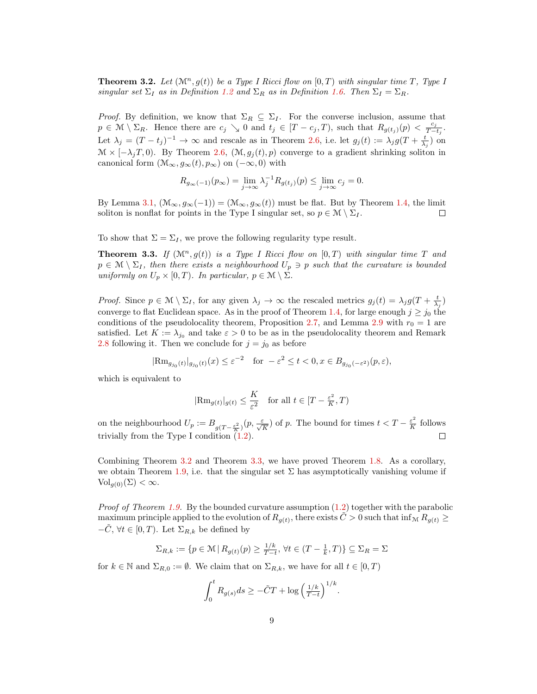<span id="page-8-0"></span>**Theorem 3.2.** Let  $(\mathcal{M}^n, g(t))$  be a Type I Ricci flow on  $[0, T)$  with singular time T, Type I singular set  $\Sigma_I$  as in Definition [1.2](#page-1-0) and  $\Sigma_R$  as in Definition [1.6.](#page-2-4) Then  $\Sigma_I = \Sigma_R$ .

*Proof.* By definition, we know that  $\Sigma_R \subseteq \Sigma_I$ . For the converse inclusion, assume that  $p \in \mathcal{M} \setminus \Sigma_R$ . Hence there are  $c_j \setminus \mathcal{O}$  and  $t_j \in [T - c_j, T)$ , such that  $R_{g(t_j)}(p) < \frac{c_j}{T-1}$  $\frac{c_j}{T-t_j}.$ Let  $\lambda_j = (T-t_j)^{-1} \to \infty$  and rescale as in Theorem [2.6,](#page-5-0) i.e. let  $g_j(t) := \lambda_j g(T + \frac{t}{\lambda_j})$  on  $\mathcal{M} \times [-\lambda_j T, 0]$ . By Theorem [2.6,](#page-5-0)  $(\mathcal{M}, g_j(t), p)$  converge to a gradient shrinking soliton in canonical form  $(\mathcal{M}_{\infty}, g_{\infty}(t), p_{\infty})$  on  $(-\infty, 0)$  with

$$
R_{g_{\infty}(-1)}(p_{\infty}) = \lim_{j \to \infty} \lambda_j^{-1} R_{g(t_j)}(p) \le \lim_{j \to \infty} c_j = 0.
$$

By Lemma [3.1,](#page-7-2)  $(\mathcal{M}_{\infty}, g_{\infty}(-1)) = (\mathcal{M}_{\infty}, g_{\infty}(t))$  must be flat. But by Theorem [1.4,](#page-1-1) the limit soliton is nonflat for points in the Type I singular set, so  $p \in \mathcal{M} \setminus \Sigma_I$ .  $\Box$ 

To show that  $\Sigma = \Sigma_I$ , we prove the following regularity type result.

<span id="page-8-1"></span>**Theorem 3.3.** If  $(\mathcal{M}^n, g(t))$  is a Type I Ricci flow on  $[0, T)$  with singular time T and  $p \in \mathcal{M} \setminus \Sigma_I$ , then there exists a neighbourhood  $U_p \ni p$  such that the curvature is bounded uniformly on  $U_p \times [0, T)$ . In particular,  $p \in \mathcal{M} \setminus \Sigma$ .

*Proof.* Since  $p \in \mathcal{M} \setminus \Sigma_I$ , for any given  $\lambda_j \to \infty$  the rescaled metrics  $g_j(t) = \lambda_j g(T + \frac{t}{\lambda_j})$ converge to flat Euclidean space. As in the proof of Theorem [1.4,](#page-1-1) for large enough  $j \ge j_0$  the conditions of the pseudolocality theorem, Proposition [2.7,](#page-6-1) and Lemma [2.9](#page-6-3) with  $r_0 = 1$  are satisfied. Let  $K := \lambda_{j_0}$  and take  $\varepsilon > 0$  to be as in the pseudolocality theorem and Remark [2.8](#page-6-2) following it. Then we conclude for  $j = j_0$  as before

$$
|\text{\rm Rm}_{g_{j_0}(t)}|_{g_{j_0}(t)}(x)\leq \varepsilon^{-2}\quad\text{for}\;\;-\varepsilon^2\leq t<0, x\in B_{g_{j_0}(-\varepsilon^2)}(p,\varepsilon),
$$

which is equivalent to

$$
|\text{Rm}_{g(t)}|_{g(t)} \leq \frac{K}{\varepsilon^2}
$$
 for all  $t \in [T - \frac{\varepsilon^2}{K}, T)$ 

on the neighbourhood  $U_p := B_{g(T - \frac{\varepsilon^2}{K})}(p, \frac{\varepsilon}{\sqrt{K}})$  of p. The bound for times  $t < T - \frac{\varepsilon^2}{K}$  $\frac{\varepsilon^2}{K}$  follows trivially from the Type I condition  $(1.2)$ .  $\Box$ 

Combining Theorem [3.2](#page-8-0) and Theorem [3.3,](#page-8-1) we have proved Theorem [1.8.](#page-2-2) As a corollary, we obtain Theorem [1.9,](#page-2-3) i.e. that the singular set  $\Sigma$  has asymptotically vanishing volume if  $\text{Vol}_{a(0)}(\Sigma) < \infty.$ 

*Proof of Theorem [1.9.](#page-2-3)* By the bounded curvature assumption  $(1.2)$  together with the parabolic maximum principle applied to the evolution of  $R_{g(t)}$ , there exists  $\tilde{C} > 0$  such that inf<sub>M</sub>  $R_{g(t)} \ge$  $-\tilde{C}$ ,  $\forall t \in [0, T)$ . Let  $\Sigma_{R,k}$  be defined by

$$
\Sigma_{R,k} := \{ p \in \mathcal{M} \mid R_{g(t)}(p) \ge \frac{1/k}{T-t}, \forall t \in (T - \frac{1}{k}, T) \} \subseteq \Sigma_R = \Sigma
$$

for  $k \in \mathbb{N}$  and  $\Sigma_{R,0} := \emptyset$ . We claim that on  $\Sigma_{R,k}$ , we have for all  $t \in [0,T)$ 

$$
\int_0^t R_{g(s)}ds \ge -\tilde{C}T + \log\left(\frac{1/k}{T-t}\right)^{1/k}.
$$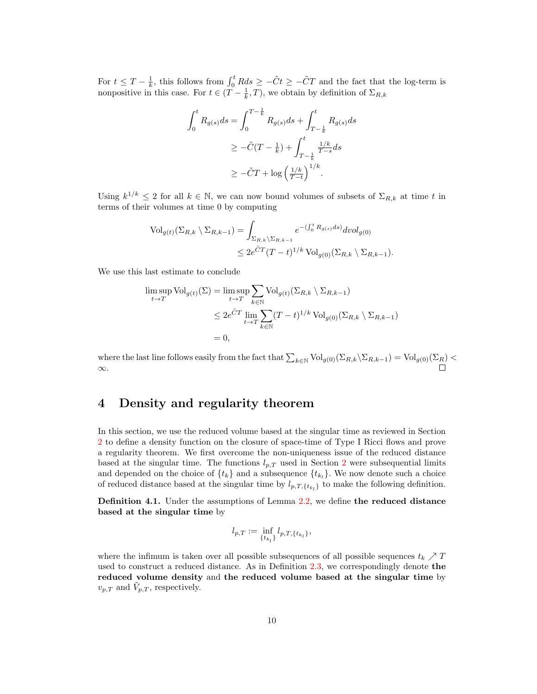For  $t \leq T - \frac{1}{k}$ , this follows from  $\int_0^t R ds \geq -\tilde{C}t \geq -\tilde{C}T$  and the fact that the log-term is nonpositive in this case. For  $t \in (\overline{T} - \frac{1}{k}, T)$ , we obtain by definition of  $\Sigma_{R,k}$ 

$$
\int_0^t R_{g(s)} ds = \int_0^{T - \frac{1}{k}} R_{g(s)} ds + \int_{T - \frac{1}{k}}^t R_{g(s)} ds
$$
  
\n
$$
\geq -\tilde{C}(T - \frac{1}{k}) + \int_{T - \frac{1}{k}}^t \frac{1/k}{T - s} ds
$$
  
\n
$$
\geq -\tilde{C}T + \log \left(\frac{1/k}{T - t}\right)^{1/k}.
$$

Using  $k^{1/k} \leq 2$  for all  $k \in \mathbb{N}$ , we can now bound volumes of subsets of  $\Sigma_{R,k}$  at time t in terms of their volumes at time 0 by computing

$$
\operatorname{Vol}_{g(t)}(\Sigma_{R,k} \setminus \Sigma_{R,k-1}) = \int_{\Sigma_{R,k} \setminus \Sigma_{R,k-1}} e^{-(\int_0^t R_{g(s)} ds)} dvol_{g(0)}
$$
  

$$
\leq 2e^{\tilde{C}T} (T-t)^{1/k} \operatorname{Vol}_{g(0)}(\Sigma_{R,k} \setminus \Sigma_{R,k-1}).
$$

We use this last estimate to conclude

$$
\limsup_{t \to T} \text{Vol}_{g(t)}(\Sigma) = \limsup_{t \to T} \sum_{k \in \mathbb{N}} \text{Vol}_{g(t)}(\Sigma_{R,k} \setminus \Sigma_{R,k-1})
$$
  

$$
\leq 2e^{\tilde{C}T} \lim_{t \to T} \sum_{k \in \mathbb{N}} (T-t)^{1/k} \text{Vol}_{g(0)}(\Sigma_{R,k} \setminus \Sigma_{R,k-1})
$$
  
= 0,

where the last line follows easily from the fact that  $\sum_{k\in\mathbb{N}}\text{Vol}_{g(0)}(\Sigma_{R,k}\setminus\Sigma_{R,k-1}) = \text{Vol}_{g(0)}(\Sigma_R) <$ ∞.

## 4 Density and regularity theorem

In this section, we use the reduced volume based at the singular time as reviewed in Section [2](#page-3-0) to define a density function on the closure of space-time of Type I Ricci flows and prove a regularity theorem. We first overcome the non-uniqueness issue of the reduced distance based at the singular time. The functions  $l_{p,T}$  used in Section [2](#page-3-0) were subsequential limits and depended on the choice of  $\{t_k\}$  and a subsequence  $\{t_{k_l}\}$ . We now denote such a choice of reduced distance based at the singular time by  $l_{p,T,\lbrace t_{k_l}\rbrace}$  to make the following definition.

<span id="page-9-0"></span>Definition 4.1. Under the assumptions of Lemma [2.2,](#page-4-0) we define the reduced distance based at the singular time by

$$
l_{p,T} := \inf_{\{t_{k_l}\}} l_{p,T,\{t_{k_l}\}},
$$

where the infimum is taken over all possible subsequences of all possible sequences  $t_k \nearrow T$ used to construct a reduced distance. As in Definition [2.3,](#page-4-1) we correspondingly denote the reduced volume density and the reduced volume based at the singular time by  $v_{p,T}$  and  $\tilde{V}_{p,T}$ , respectively.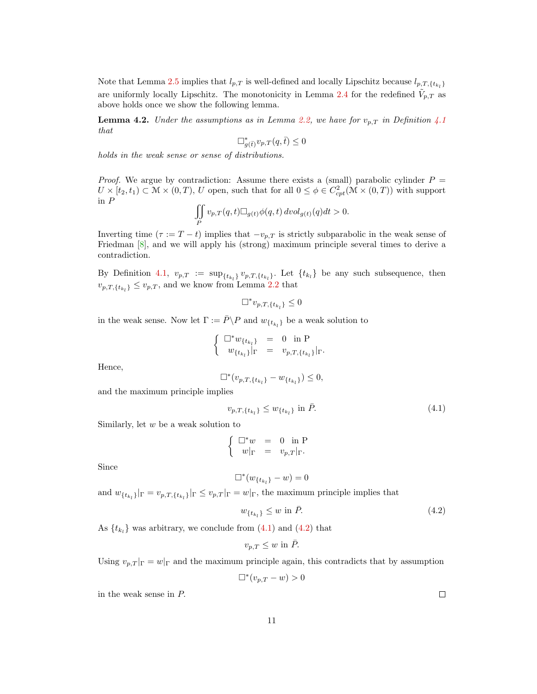Note that Lemma [2.5](#page-5-1) implies that  $l_{p,T}$  is well-defined and locally Lipschitz because  $l_{p,T,\lbrace t_{k_l}\rbrace}$ are uniformly locally Lipschitz. The monotonicity in Lemma [2.4](#page-4-2) for the redefined  $\tilde{V}_{p,T}$  as above holds once we show the following lemma.

**Lemma 4.2.** Under the assumptions as in Lemma [2.2,](#page-4-0) we have for  $v_{p,T}$  in Definition [4.1](#page-9-0) that

$$
\Box^*_{g(\bar{t})} v_{p,T}(q,\bar{t}) \le 0
$$

holds in the weak sense or sense of distributions.

*Proof.* We argue by contradiction: Assume there exists a (small) parabolic cylinder  $P =$  $U \times [t_2, t_1) \subset \mathcal{M} \times (0, T), U$  open, such that for all  $0 \leq \phi \in C^2_{cpt}(\mathcal{M} \times (0, T))$  with support in P

$$
\iint\limits_{P}v_{p,T}(q,t)\square_{g(t)}\phi(q,t)\,dvol_{g(t)}(q)dt>0.
$$

Inverting time  $(\tau := T - t)$  implies that  $-v_{p,T}$  is strictly subparabolic in the weak sense of Friedman [\[8\]](#page-12-21), and we will apply his (strong) maximum principle several times to derive a contradiction.

By Definition [4.1,](#page-9-0)  $v_{p,T} := \sup_{\{t_{k_l}\}} v_{p,T,\{t_{k_l}\}}$ . Let  $\{t_{k_l}\}\$ be any such subsequence, then  $v_{p,T,\lbrace t_{k_l}\rbrace} \leq v_{p,T}$ , and we know from Lemma [2.2](#page-4-0) that

$$
\Box^* v_{p,T,\{t_{k_l}\}} \leq 0
$$

in the weak sense. Now let  $\Gamma := \bar{P} \backslash P$  and  $w_{\{t_{k_l}\}}$  be a weak solution to

$$
\left\{ \begin{array}{rcl} \Box^* w_{\{t_{k_l}\}} &=& 0 \ \ \mbox{in} \ \mathrm{P} \\ w_{\{t_{k_l}\}}|_{\Gamma} &=& v_{p,T,\{t_{k_l}\}}|_{\Gamma}. \end{array} \right.
$$

Hence,

$$
\Box^*(v_{p,T,\{t_{k_l}\}} - w_{\{t_{k_l}\}}) \leq 0,
$$

and the maximum principle implies

<span id="page-10-0"></span>
$$
v_{p,T,\{t_{k_l}\}} \le w_{\{t_{k_l}\}} \text{ in } \bar{P}. \tag{4.1}
$$

Similarly, let  $w$  be a weak solution to

$$
\left\{ \begin{array}{rcl} \square^*w &=& 0 \ \ \text{in} \ \mathrm{P} \\ w|_{\Gamma} &=& v_{p,T}|_{\Gamma}. \end{array} \right.
$$

Since

$$
\Box^*(w_{\{t_{k_l}\}} - w) = 0
$$

and  $w_{\{t_{k_l}\}}|_{\Gamma} = v_{p,T,\{t_{k_l}\}}|_{\Gamma} \leq v_{p,T}|_{\Gamma} = w|_{\Gamma}$ , the maximum principle implies that

<span id="page-10-1"></span>
$$
w_{\{t_{k_l}\}} \le w \text{ in } \bar{P}. \tag{4.2}
$$

As  $\{t_{k_l}\}\$  was arbitrary, we conclude from  $(4.1)$  and  $(4.2)$  that

$$
v_{p,T} \le w \text{ in } \bar{P}.
$$

Using  $v_{p,T}|_{\Gamma} = w|_{\Gamma}$  and the maximum principle again, this contradicts that by assumption

$$
\Box^*(v_{p,T} - w) > 0
$$

in the weak sense in P.

 $\Box$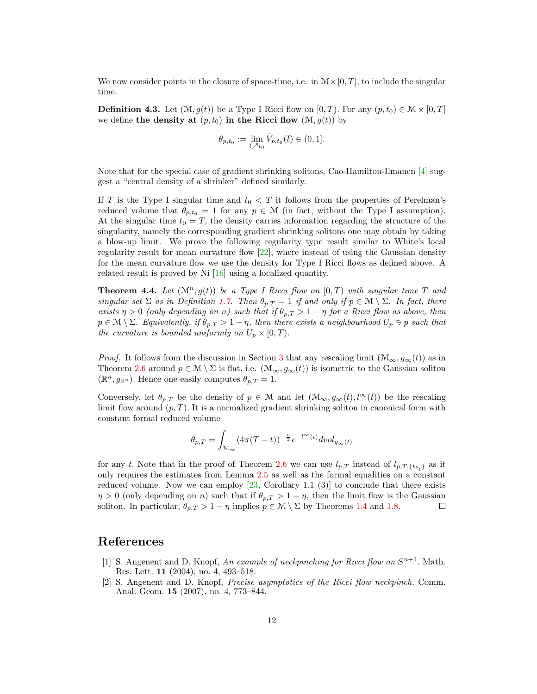We now consider points in the closure of space-time, i.e. in  $\mathcal{M} \times [0, T]$ , to include the singular time.

**Definition 4.3.** Let  $(\mathcal{M}, g(t))$  be a Type I Ricci flow on  $[0, T)$ . For any  $(p, t_0) \in \mathcal{M} \times [0, T]$ we define the density at  $(p, t_0)$  in the Ricci flow  $(\mathcal{M}, g(t))$  by

$$
\theta_{p,t_0} := \lim_{\bar{t} \nearrow t_0} \tilde{V}_{p,t_0}(\bar{t}) \in (0,1].
$$

Note that for the special case of gradient shrinking solitons, Cao-Hamilton-Ilmanen [\[4\]](#page-12-14) suggest a "central density of a shrinker" defined similarly.

If T is the Type I singular time and  $t_0 < T$  it follows from the properties of Perelman's reduced volume that  $\theta_{p,t_0} = 1$  for any  $p \in \mathcal{M}$  (in fact, without the Type I assumption). At the singular time  $t_0 = T$ , the density carries information regarding the structure of the singularity, namely the corresponding gradient shrinking solitons one may obtain by taking a blow-up limit. We prove the following regularity type result similar to White's local regularity result for mean curvature flow [\[22\]](#page-12-1), where instead of using the Gaussian density for the mean curvature flow we use the density for Type I Ricci flows as defined above. A related result is proved by Ni [\[16\]](#page-12-15) using a localized quantity.

<span id="page-11-2"></span>**Theorem 4.4.** Let  $(\mathcal{M}^n, g(t))$  be a Type I Ricci flow on  $[0, T)$  with singular time T and singular set  $\Sigma$  as in Definition [1.7.](#page-2-1) Then  $\theta_{p,T} = 1$  if and only if  $p \in \mathcal{M} \setminus \Sigma$ . In fact, there exists  $\eta > 0$  (only depending on n) such that if  $\theta_{p,T} > 1 - \eta$  for a Ricci flow as above, then  $p \in \mathcal{M} \setminus \Sigma$ . Equivalently, if  $\theta_{p,T} > 1 - \eta$ , then there exists a neighbourhood  $U_p \ni p$  such that the curvature is bounded uniformly on  $U_p \times [0, T)$ .

*Proof.* It follows from the discussion in Section [3](#page-7-0) that any rescaling limit  $(\mathcal{M}_{\infty}, g_{\infty}(t))$  as in Theorem [2.6](#page-5-0) around  $p \in \mathcal{M} \setminus \Sigma$  is flat, i.e.  $(\mathcal{M}_{\infty}, g_{\infty}(t))$  is isometric to the Gaussian soliton  $(\mathbb{R}^n, g_{\mathbb{R}^n})$ . Hence one easily computes  $\theta_{p,T} = 1$ .

Conversely, let  $\theta_{p,T}$  be the density of  $p \in \mathcal{M}$  and let  $(\mathcal{M}_{\infty}, g_{\infty}(t), l^{\infty}(t))$  be the rescaling limit flow around  $(p, T)$ . It is a normalized gradient shrinking soliton in canonical form with constant formal reduced volume

$$
\theta_{p,T} = \int_{\mathcal{M}_{\infty}} (4\pi (T-t))^{-\frac{n}{2}} e^{-l^{\infty}(t)} dvol_{g_{\infty}(t)}
$$

for any t. Note that in the proof of Theorem [2.6](#page-5-0) we can use  $l_{p,T}$  instead of  $l_{p,T,\{t_{k_l}\}}$  as it only requires the estimates from Lemma [2.5](#page-5-1) as well as the formal equalities on a constant reduced volume. Now we can employ  $[23,$  Corollary 1.1  $(3)]$  to conclude that there exists  $\eta > 0$  (only depending on n) such that if  $\theta_{p,T} > 1 - \eta$ , then the limit flow is the Gaussian soliton. In particular,  $\theta_{p,T} > 1 - \eta$  implies  $p \in \mathcal{M} \setminus \Sigma$  by Theorems [1.4](#page-1-1) and [1.8.](#page-2-2)  $\Box$ 

### References

- <span id="page-11-0"></span>[1] S. Angenent and D. Knopf, An example of neckpinching for Ricci flow on  $S^{n+1}$ . Math. Res. Lett. 11 (2004), no. 4, 493–518.
- <span id="page-11-1"></span>[2] S. Angenent and D. Knopf, Precise asymptotics of the Ricci flow neckpinch. Comm. Anal. Geom. 15 (2007), no. 4, 773–844.